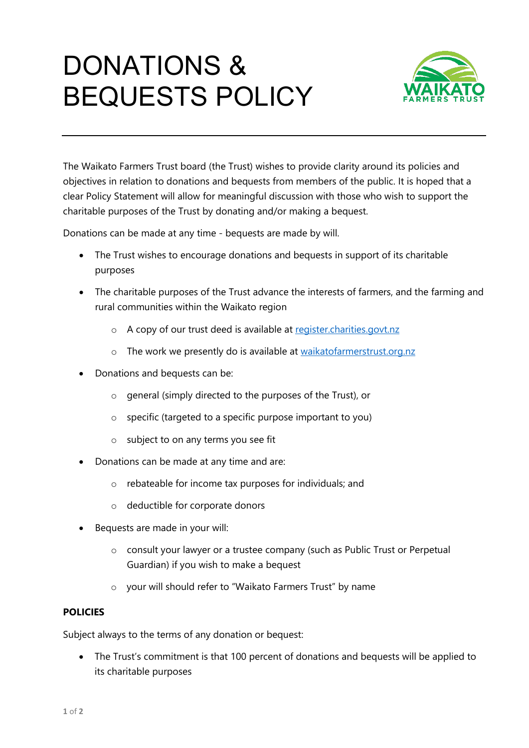## DONATIONS & BEQUESTS POLICY



The Waikato Farmers Trust board (the Trust) wishes to provide clarity around its policies and objectives in relation to donations and bequests from members of the public. It is hoped that a clear Policy Statement will allow for meaningful discussion with those who wish to support the charitable purposes of the Trust by donating and/or making a bequest.

Donations can be made at any time - bequests are made by will.

- The Trust wishes to encourage donations and bequests in support of its charitable purposes
- The charitable purposes of the Trust advance the interests of farmers, and the farming and rural communities within the Waikato region
	- o A copy of our trust deed is available at [register.charities.govt.nz](http://www.register.charities.govt.nz/)
	- o The work we presently do is available at [waikatofarmerstrust.org.nz](http://www.waikatofarmerstrust.org.nz/)
- Donations and bequests can be:
	- o general (simply directed to the purposes of the Trust), or
	- o specific (targeted to a specific purpose important to you)
	- o subject to on any terms you see fit
- Donations can be made at any time and are:
	- o rebateable for income tax purposes for individuals; and
	- o deductible for corporate donors
- Bequests are made in your will:
	- o consult your lawyer or a trustee company (such as Public Trust or Perpetual Guardian) if you wish to make a bequest
	- o your will should refer to "Waikato Farmers Trust" by name

## **POLICIES**

Subject always to the terms of any donation or bequest:

• The Trust's commitment is that 100 percent of donations and bequests will be applied to its charitable purposes